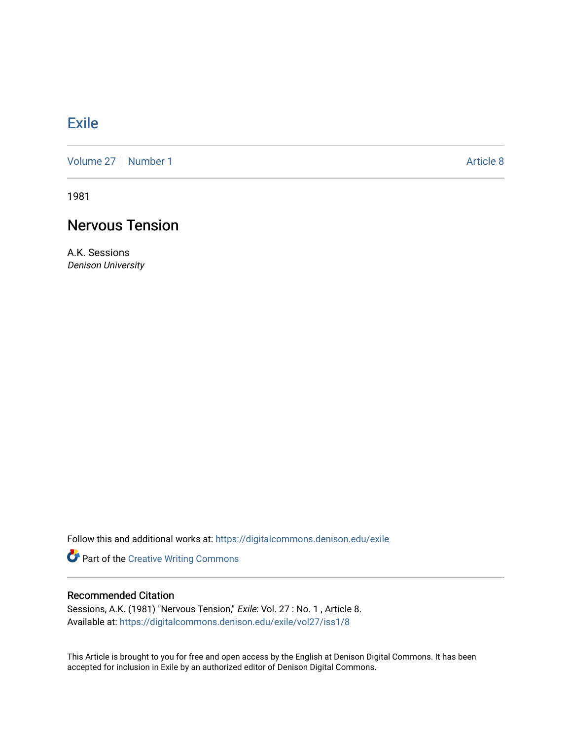### **[Exile](https://digitalcommons.denison.edu/exile)**

[Volume 27](https://digitalcommons.denison.edu/exile/vol27) | [Number 1](https://digitalcommons.denison.edu/exile/vol27/iss1) Article 8

1981

# Nervous Tension

A.K. Sessions Denison University

Follow this and additional works at: [https://digitalcommons.denison.edu/exile](https://digitalcommons.denison.edu/exile?utm_source=digitalcommons.denison.edu%2Fexile%2Fvol27%2Fiss1%2F8&utm_medium=PDF&utm_campaign=PDFCoverPages) 

Part of the [Creative Writing Commons](http://network.bepress.com/hgg/discipline/574?utm_source=digitalcommons.denison.edu%2Fexile%2Fvol27%2Fiss1%2F8&utm_medium=PDF&utm_campaign=PDFCoverPages) 

### Recommended Citation

Sessions, A.K. (1981) "Nervous Tension," Exile: Vol. 27 : No. 1, Article 8. Available at: [https://digitalcommons.denison.edu/exile/vol27/iss1/8](https://digitalcommons.denison.edu/exile/vol27/iss1/8?utm_source=digitalcommons.denison.edu%2Fexile%2Fvol27%2Fiss1%2F8&utm_medium=PDF&utm_campaign=PDFCoverPages) 

This Article is brought to you for free and open access by the English at Denison Digital Commons. It has been accepted for inclusion in Exile by an authorized editor of Denison Digital Commons.